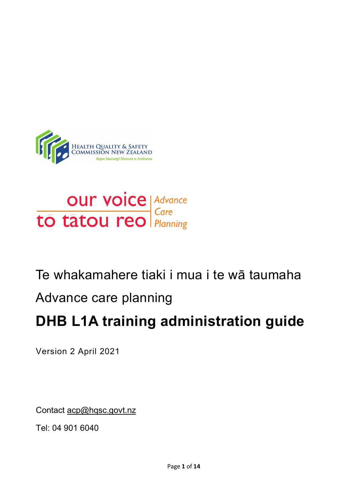



# Te whakamahere tiaki i mua i te wā taumaha

# Advance care planning

# **DHB L1A training administration guide**

Version 2 April 2021

Contact [acp@hqsc.govt.nz](mailto:acp@hqsc.govt.nz)

Tel: 04 901 6040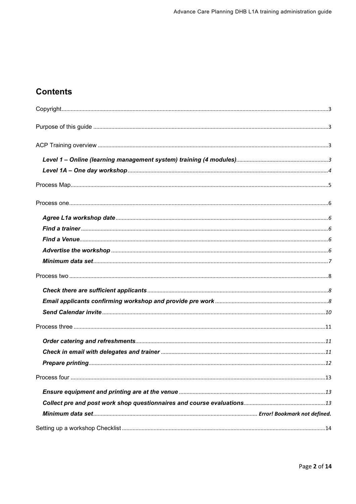## **Contents**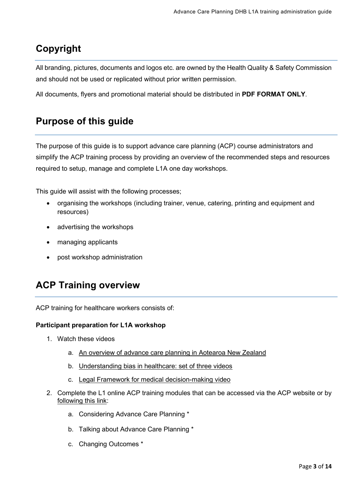# <span id="page-2-0"></span>**Copyright**

All branding, pictures, documents and logos etc. are owned by the Health Quality & Safety Commission and should not be used or replicated without prior written permission.

All documents, flyers and promotional material should be distributed in **PDF FORMAT ONLY**.

## <span id="page-2-1"></span>**Purpose of this guide**

The purpose of this guide is to support advance care planning (ACP) course administrators and simplify the ACP training process by providing an overview of the recommended steps and resources required to setup, manage and complete L1A one day workshops.

This guide will assist with the following processes;

- organising the workshops (including trainer, venue, catering, printing and equipment and resources)
- advertising the workshops
- managing applicants
- post workshop administration

# <span id="page-2-2"></span>**ACP Training overview**

ACP training for healthcare workers consists of:

#### **Participant preparation for L1A workshop**

- <span id="page-2-3"></span>1. Watch these videos
	- a. [An overview of advance care planning in Aotearoa New Zealand](https://www.hqsc.govt.nz/our-programmes/advance-care-planning/information-for-clinicians/publications-and-resources/publication/4215/)
	- b. [Understanding bias in healthcare: set of three videos](https://www.hqsc.govt.nz/our-programmes/patient-safety-day/publications-and-resources/publication/3866/)
	- c. [Legal Framework for medical decision-making video](https://www.hqsc.govt.nz/our-programmes/advance-care-planning/information-for-clinicians/legal-framework-for-medical-decision-making/)
- 2. Complete the L1 online ACP training modules that can be accessed via the ACP website or by [following this link:](https://acp.elearning.ac.nz/login/index.php)
	- a. Considering Advance Care Planning \*
	- b. Talking about Advance Care Planning \*
	- c. Changing Outcomes \*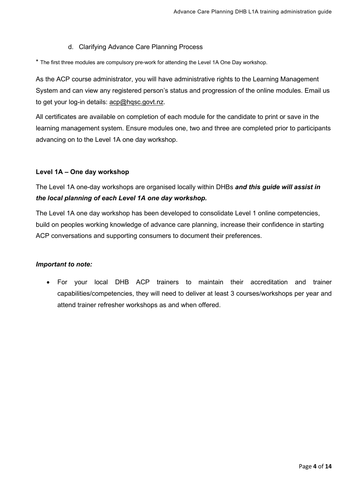#### d. Clarifying Advance Care Planning Process

\* The first three modules are compulsory pre-work for attending the Level 1A One Day workshop.

As the ACP course administrator, you will have administrative rights to the Learning Management System and can view any registered person's status and progression of the online modules. Email us to get your log-in details: [acp@hqsc.govt.nz.](mailto:acp@hqsc.govt.nz)

All certificates are available on completion of each module for the candidate to print or save in the learning management system. Ensure modules one, two and three are completed prior to participants advancing on to the Level 1A one day workshop.

#### <span id="page-3-0"></span>**Level 1A – One day workshop**

### The Level 1A one-day workshops are organised locally within DHBs *and this guide will assist in the local planning of each Level 1A one day workshop.*

The Level 1A one day workshop has been developed to consolidate Level 1 online competencies, build on peoples working knowledge of advance care planning, increase their confidence in starting ACP conversations and supporting consumers to document their preferences.

#### *Important to note:*

• For your local DHB ACP trainers to maintain their accreditation and trainer capabilities/competencies, they will need to deliver at least 3 courses/workshops per year and attend trainer refresher workshops as and when offered.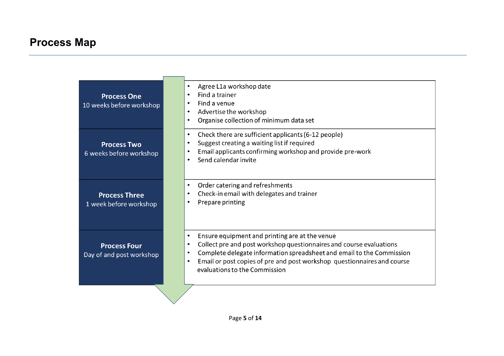# **Process Map**

<span id="page-4-0"></span>

| <b>Process One</b><br>10 weeks before workshop  | Agree L1a workshop date<br>$\bullet$<br>Find a trainer<br>$\bullet$<br>Find a venue<br>$\bullet$<br>Advertise the workshop<br>$\bullet$<br>Organise collection of minimum data set<br>$\bullet$                                                                                                                                                                |
|-------------------------------------------------|----------------------------------------------------------------------------------------------------------------------------------------------------------------------------------------------------------------------------------------------------------------------------------------------------------------------------------------------------------------|
| <b>Process Two</b><br>6 weeks before workshop   | Check there are sufficient applicants (6-12 people)<br>$\bullet$<br>Suggest creating a waiting list if required<br>$\bullet$<br>Email applicants confirming workshop and provide pre-work<br>$\bullet$<br>Send calendar invite<br>$\bullet$                                                                                                                    |
| <b>Process Three</b><br>1 week before workshop  | Order catering and refreshments<br>$\bullet$<br>Check-in email with delegates and trainer<br>$\bullet$<br>Prepare printing<br>$\bullet$                                                                                                                                                                                                                        |
| <b>Process Four</b><br>Day of and post workshop | Ensure equipment and printing are at the venue<br>$\bullet$<br>Collect pre and post workshop questionnaires and course evaluations<br>$\bullet$<br>Complete delegate information spreadsheet and email to the Commission<br>$\bullet$<br>Email or post copies of pre and post workshop questionnaires and course<br>$\bullet$<br>evaluations to the Commission |
|                                                 |                                                                                                                                                                                                                                                                                                                                                                |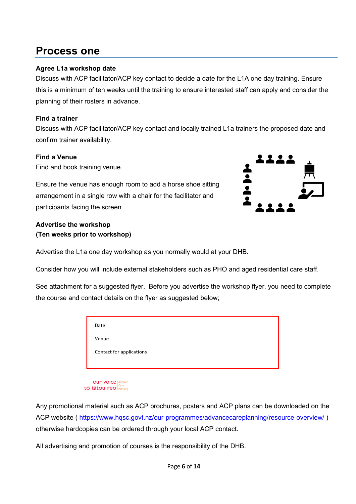# <span id="page-5-0"></span>**Process one**

### <span id="page-5-1"></span>**Agree L1a workshop date**

Discuss with ACP facilitator/ACP key contact to decide a date for the L1A one day training. Ensure this is a minimum of ten weeks until the training to ensure interested staff can apply and consider the planning of their rosters in advance.

### <span id="page-5-2"></span>**Find a trainer**

Discuss with ACP facilitator/ACP key contact and locally trained L1a trainers the proposed date and confirm trainer availability.

### <span id="page-5-3"></span>**Find a Venue**

Find and book training venue.

Ensure the venue has enough room to add a horse shoe sitting arrangement in a single row with a chair for the facilitator and participants facing the screen.



### <span id="page-5-4"></span>**Advertise the workshop (Ten weeks prior to workshop)**

Advertise the L1a one day workshop as you normally would at your DHB.

Consider how you will include external stakeholders such as PHO and aged residential care staff.

See attachment for a suggested flyer. Before you advertise the workshop flyer, you need to complete the course and contact details on the flyer as suggested below;

|  | Date                     |
|--|--------------------------|
|  | Venue                    |
|  | Contact for applications |
|  |                          |
|  |                          |

**OUP VOICE | Advance** tō tātou reo

Any promotional material such as ACP brochures, posters and ACP plans can be downloaded on the ACP website (<https://www.hqsc.govt.nz/our-programmes/advancecareplanning/resource-overview/> ) otherwise hardcopies can be ordered through your local ACP contact.

All advertising and promotion of courses is the responsibility of the DHB.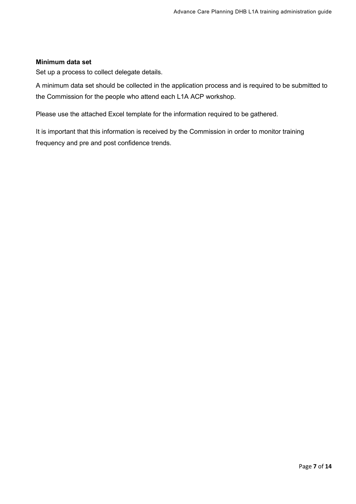#### <span id="page-6-0"></span>**Minimum data set**

Set up a process to collect delegate details.

A minimum data set should be collected in the application process and is required to be submitted to the Commission for the people who attend each L1A ACP workshop.

Please use the attached Excel template for the information required to be gathered.

It is important that this information is received by the Commission in order to monitor training frequency and pre and post confidence trends.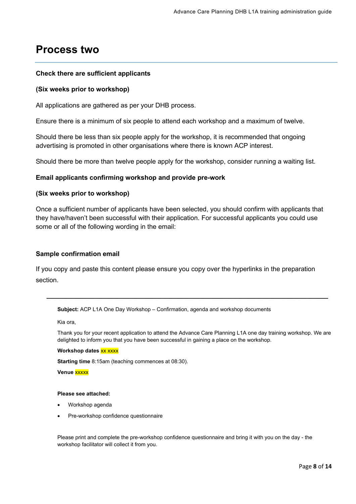# <span id="page-7-0"></span>**Process two**

#### <span id="page-7-1"></span>**Check there are sufficient applicants**

#### **(Six weeks prior to workshop)**

All applications are gathered as per your DHB process.

Ensure there is a minimum of six people to attend each workshop and a maximum of twelve.

Should there be less than six people apply for the workshop, it is recommended that ongoing advertising is promoted in other organisations where there is known ACP interest.

Should there be more than twelve people apply for the workshop, consider running a waiting list.

#### <span id="page-7-2"></span>**Email applicants confirming workshop and provide pre-work**

#### **(Six weeks prior to workshop)**

Once a sufficient number of applicants have been selected, you should confirm with applicants that they have/haven't been successful with their application. For successful applicants you could use some or all of the following wording in the email:

#### **Sample confirmation email**

If you copy and paste this content please ensure you copy over the hyperlinks in the preparation section.

**Subject:** ACP L1A One Day Workshop – Confirmation, agenda and workshop documents

Kia ora,

Thank you for your recent application to attend the Advance Care Planning L1A one day training workshop. We are delighted to inform you that you have been successful in gaining a place on the workshop.

**\_\_\_\_\_\_\_\_\_\_\_\_\_\_\_\_\_\_\_\_\_\_\_\_\_\_\_\_\_\_\_\_\_\_\_\_\_\_\_\_\_\_\_\_\_\_\_\_\_\_\_\_\_\_\_\_\_\_\_\_\_\_\_\_\_\_\_\_\_\_\_\_\_\_\_\_\_**

#### **Workshop dates XX XXXX**

**Starting time** 8:15am (teaching commences at 08:30).

**Venue** xxxxx

#### **Please see attached:**

- Workshop agenda
- Pre-workshop confidence questionnaire

Please print and complete the pre-workshop confidence questionnaire and bring it with you on the day - the workshop facilitator will collect it from you.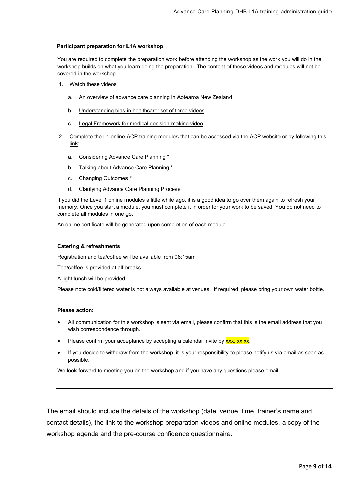#### **Participant preparation for L1A workshop**

You are required to complete the preparation work before attending the workshop as the work you will do in the workshop builds on what you learn doing the preparation. The content of these videos and modules will not be covered in the workshop.

- 1. Watch these videos
	- a. [An overview of advance care planning in Aotearoa New Zealand](https://www.hqsc.govt.nz/our-programmes/advance-care-planning/information-for-clinicians/publications-and-resources/publication/4215/)
	- b. [Understanding bias in healthcare: set of three videos](https://www.hqsc.govt.nz/our-programmes/patient-safety-day/publications-and-resources/publication/3866/)
	- c. [Legal Framework for medical decision-making video](https://www.hqsc.govt.nz/our-programmes/advance-care-planning/information-for-clinicians/legal-framework-for-medical-decision-making/)
- 2. Complete the L1 online ACP training modules that can be accessed via the ACP website or by following this [link:](https://acp.elearning.ac.nz/login/index.php)
	- a. Considering Advance Care Planning \*
	- b. Talking about Advance Care Planning \*
	- c. Changing Outcomes \*
	- d. Clarifying Advance Care Planning Process

If you did the Level 1 online modules a little while ago, it is a good idea to go over them again to refresh your memory. Once you start a module, you must complete it in order for your work to be saved. You do not need to complete all modules in one go.

An online certificate will be generated upon completion of each module.

#### **Catering & refreshments**

Registration and tea/coffee will be available from 08:15am

Tea/coffee is provided at all breaks.

A light lunch will be provided.

Please note cold/filtered water is not always available at venues. If required, please bring your own water bottle.

#### **Please action:**

- All communication for this workshop is sent via email, please confirm that this is the email address that you wish correspondence through.
- Please confirm your acceptance by accepting a calendar invite by **xxx**, xx xx.
- If you decide to withdraw from the workshop, it is your responsibility to please notify us via email as soon as possible.

We look forward to meeting you on the workshop and if you have any questions please email.

<span id="page-8-0"></span>The email should include the details of the workshop (date, venue, time, trainer's name and contact details), the link to the workshop preparation videos and online modules, a copy of the workshop agenda and the pre-course confidence questionnaire.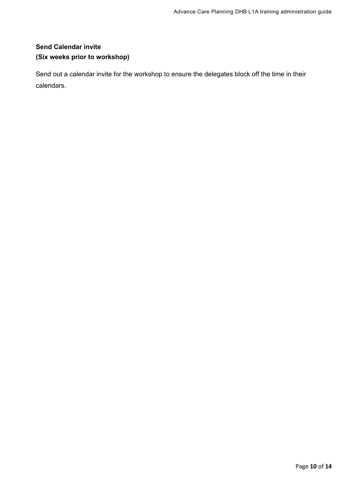### **Send Calendar invite (Six weeks prior to workshop)**

Send out a calendar invite for the workshop to ensure the delegates block off the time in their calendars.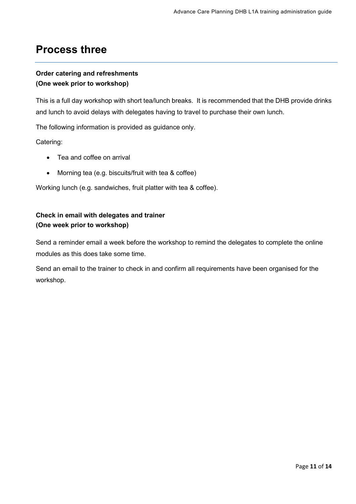# <span id="page-10-0"></span>**Process three**

### <span id="page-10-1"></span>**Order catering and refreshments (One week prior to workshop)**

This is a full day workshop with short tea/lunch breaks. It is recommended that the DHB provide drinks and lunch to avoid delays with delegates having to travel to purchase their own lunch.

The following information is provided as guidance only.

Catering:

- Tea and coffee on arrival
- Morning tea (e.g. biscuits/fruit with tea & coffee)

Working lunch (e.g. sandwiches, fruit platter with tea & coffee).

### <span id="page-10-2"></span>**Check in email with delegates and trainer (One week prior to workshop)**

Send a reminder email a week before the workshop to remind the delegates to complete the online modules as this does take some time.

Send an email to the trainer to check in and confirm all requirements have been organised for the workshop.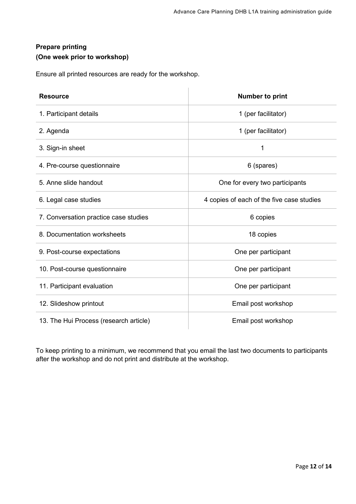### <span id="page-11-0"></span>**Prepare printing (One week prior to workshop)**

Ensure all printed resources are ready for the workshop.

| <b>Resource</b>                        | <b>Number to print</b>                    |
|----------------------------------------|-------------------------------------------|
| 1. Participant details                 | 1 (per facilitator)                       |
| 2. Agenda                              | 1 (per facilitator)                       |
| 3. Sign-in sheet                       | 1                                         |
| 4. Pre-course questionnaire            | 6 (spares)                                |
| 5. Anne slide handout                  | One for every two participants            |
| 6. Legal case studies                  | 4 copies of each of the five case studies |
| 7. Conversation practice case studies  | 6 copies                                  |
| 8. Documentation worksheets            | 18 copies                                 |
| 9. Post-course expectations            | One per participant                       |
| 10. Post-course questionnaire          | One per participant                       |
| 11. Participant evaluation             | One per participant                       |
| 12. Slideshow printout                 | Email post workshop                       |
| 13. The Hui Process (research article) | Email post workshop                       |

To keep printing to a minimum, we recommend that you email the last two documents to participants after the workshop and do not print and distribute at the workshop.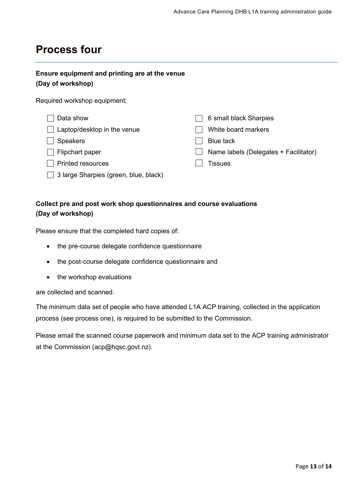# <span id="page-12-0"></span>**Process four**

### <span id="page-12-1"></span>**Ensure equipment and printing are at the venue (Day of workshop)**

Required workshop equipment;

| Data show                                   | 6 small black Sharpies                |
|---------------------------------------------|---------------------------------------|
| Laptop/desktop in the venue<br>$\mathbf{1}$ | White board markers                   |
| <b>Speakers</b>                             | <b>Blue tack</b>                      |
| Flipchart paper<br>$\mathbf{L}$             | Name labels (Delegates + Facilitator) |
| <b>Printed resources</b>                    | Tissues                               |
| 3 large Sharpies (green, blue, black)       |                                       |

### <span id="page-12-2"></span>**Collect pre and post work shop questionnaires and course evaluations (Day of workshop)**

Please ensure that the completed hard copies of:

- the pre-course delegate confidence questionnaire
- the post-course delegate confidence questionnaire and
- the workshop evaluations

are collected and scanned.

The minimum data set of people who have attended L1A ACP training, collected in the application process (see process one), is required to be submitted to the Commission.

<span id="page-12-3"></span>Please email the scanned course paperwork and minimum data set to the ACP training administrator at the Commission (acp@hqsc.govt.nz).